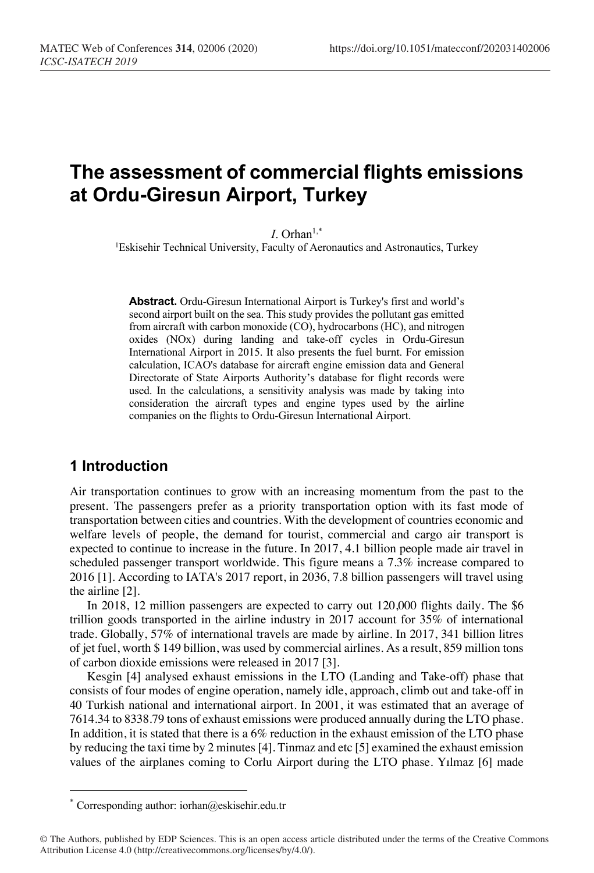# **The assessment of commercial flights emissions at Ordu-Giresun Airport, Turkey**

 $I.$  Orhan<sup> $1,*$ </sup>

<sup>1</sup>Eskisehir Technical University, Faculty of Aeronautics and Astronautics, Turkey

**Abstract.** Ordu-Giresun International Airport is Turkey's first and world's second airport built on the sea. This study provides the pollutant gas emitted from aircraft with carbon monoxide (CO), hydrocarbons (HC), and nitrogen oxides (NOx) during landing and take-off cycles in Ordu-Giresun International Airport in 2015. It also presents the fuel burnt. For emission calculation, ICAO's database for aircraft engine emission data and General Directorate of State Airports Authority's database for flight records were used. In the calculations, a sensitivity analysis was made by taking into consideration the aircraft types and engine types used by the airline companies on the flights to Ordu-Giresun International Airport.

## **1 Introduction**

Air transportation continues to grow with an increasing momentum from the past to the present. The passengers prefer as a priority transportation option with its fast mode of transportation between cities and countries. With the development of countries economic and welfare levels of people, the demand for tourist, commercial and cargo air transport is expected to continue to increase in the future. In 2017, 4.1 billion people made air travel in scheduled passenger transport worldwide. This figure means a 7.3% increase compared to 2016 [1]. According to IATA's 2017 report, in 2036, 7.8 billion passengers will travel using the airline [2].

In 2018, 12 million passengers are expected to carry out 120,000 flights daily. The \$6 trillion goods transported in the airline industry in 2017 account for 35% of international trade. Globally, 57% of international travels are made by airline. In 2017, 341 billion litres of jet fuel, worth \$ 149 billion, was used by commercial airlines. As a result, 859 million tons of carbon dioxide emissions were released in 2017 [3].

Kesgin [4] analysed exhaust emissions in the LTO (Landing and Take-off) phase that consists of four modes of engine operation, namely idle, approach, climb out and take-off in 40 Turkish national and international airport. In 2001, it was estimated that an average of 7614.34 to 8338.79 tons of exhaust emissions were produced annually during the LTO phase. In addition, it is stated that there is a 6% reduction in the exhaust emission of the LTO phase by reducing the taxi time by 2 minutes [4]. Tinmaz and etc [5] examined the exhaust emission values of the airplanes coming to Corlu Airport during the LTO phase. Yılmaz [6] made

Corresponding author: iorhan@eskisehir.edu.tr

<sup>©</sup> The Authors, published by EDP Sciences. This is an open access article distributed under the terms of the Creative Commons Attribution License 4.0 (http://creativecommons.org/licenses/by/4.0/).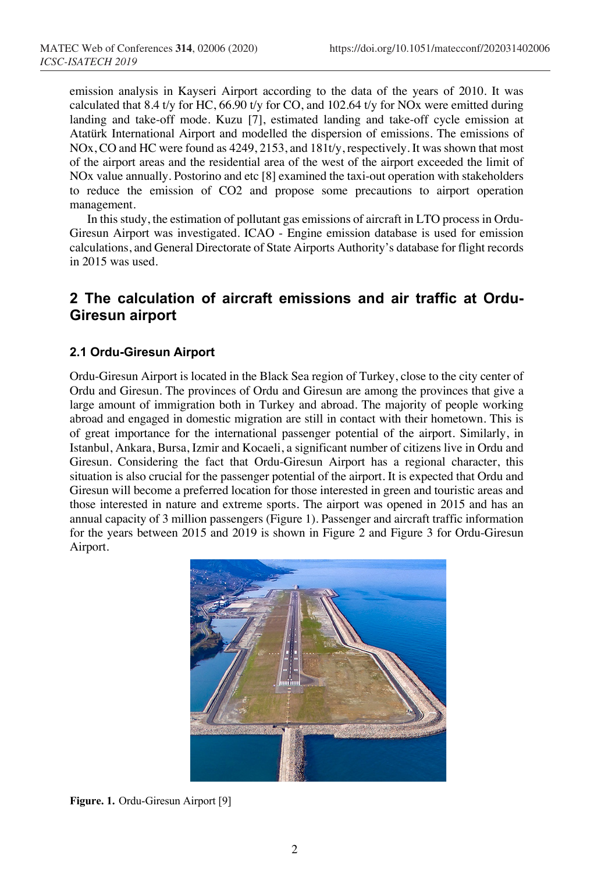emission analysis in Kayseri Airport according to the data of the years of 2010. It was calculated that 8.4 t/y for HC, 66.90 t/y for CO, and 102.64 t/y for NOx were emitted during landing and take-off mode. Kuzu [7], estimated landing and take-off cycle emission at Atatürk International Airport and modelled the dispersion of emissions. The emissions of NOx, CO and HC were found as 4249, 2153, and 181t/y, respectively. It was shown that most of the airport areas and the residential area of the west of the airport exceeded the limit of NOx value annually. Postorino and etc [8] examined the taxi-out operation with stakeholders to reduce the emission of CO2 and propose some precautions to airport operation management.

In this study, the estimation of pollutant gas emissions of aircraft in LTO process in Ordu-Giresun Airport was investigated. ICAO - Engine emission database is used for emission calculations, and General Directorate of State Airports Authority's database for flight records in 2015 was used.

# **2 The calculation of aircraft emissions and air traffic at Ordu-Giresun airport**

#### **2.1 Ordu-Giresun Airport**

Ordu-Giresun Airport is located in the Black Sea region of Turkey, close to the city center of Ordu and Giresun. The provinces of Ordu and Giresun are among the provinces that give a large amount of immigration both in Turkey and abroad. The majority of people working abroad and engaged in domestic migration are still in contact with their hometown. This is of great importance for the international passenger potential of the airport. Similarly, in Istanbul, Ankara, Bursa, Izmir and Kocaeli, a significant number of citizens live in Ordu and Giresun. Considering the fact that Ordu-Giresun Airport has a regional character, this situation is also crucial for the passenger potential of the airport. It is expected that Ordu and Giresun will become a preferred location for those interested in green and touristic areas and those interested in nature and extreme sports. The airport was opened in 2015 and has an annual capacity of 3 million passengers (Figure 1). Passenger and aircraft traffic information for the years between 2015 and 2019 is shown in Figure 2 and Figure 3 for Ordu-Giresun Airport.



**Figure. 1.** Ordu-Giresun Airport [9]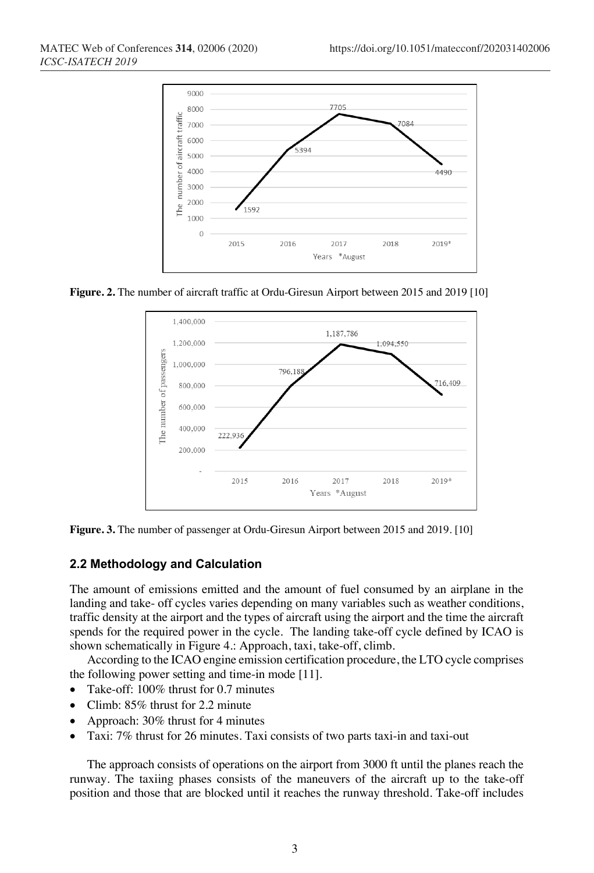

**Figure. 2.** The number of aircraft traffic at Ordu-Giresun Airport between 2015 and 2019 [10]



**Figure. 3.** The number of passenger at Ordu-Giresun Airport between 2015 and 2019. [10]

## **2.2 Methodology and Calculation**

The amount of emissions emitted and the amount of fuel consumed by an airplane in the landing and take- off cycles varies depending on many variables such as weather conditions, traffic density at the airport and the types of aircraft using the airport and the time the aircraft spends for the required power in the cycle. The landing take-off cycle defined by ICAO is shown schematically in Figure 4.: Approach, taxi, take-off, climb.

According to the ICAO engine emission certification procedure, the LTO cycle comprises the following power setting and time-in mode [11].

- Take-off: 100% thrust for 0.7 minutes
- Climb: 85% thrust for 2.2 minute
- Approach: 30% thrust for 4 minutes
- Taxi: 7% thrust for 26 minutes. Taxi consists of two parts taxi-in and taxi-out

The approach consists of operations on the airport from 3000 ft until the planes reach the runway. The taxiing phases consists of the maneuvers of the aircraft up to the take-off position and those that are blocked until it reaches the runway threshold. Take-off includes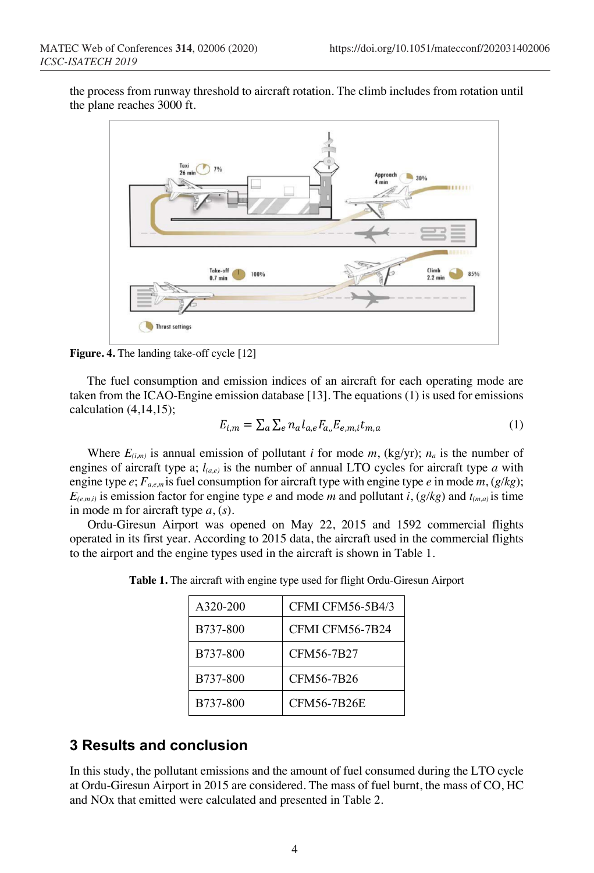the process from runway threshold to aircraft rotation. The climb includes from rotation until the plane reaches 3000 ft.



**Figure. 4.** The landing take-off cycle [12]

The fuel consumption and emission indices of an aircraft for each operating mode are taken from the ICAO-Engine emission database [13]. The equations (1) is used for emissions calculation (4,14,15);

$$
E_{i,m} = \sum_{a} \sum_{e} n_a l_{a,e} F_{a,h} E_{e,m,i} t_{m,a} \tag{1}
$$

Where  $E_{(i,m)}$  is annual emission of pollutant *i* for mode *m*, (kg/yr);  $n_a$  is the number of engines of aircraft type a;  $l_{(a,e)}$  is the number of annual LTO cycles for aircraft type  $a$  with engine type *e*; *Fa,e,m* is fuel consumption for aircraft type with engine type *e* in mode *m*, (*g/kg*);  $E_{(e,m,i)}$  is emission factor for engine type *e* and mode *m* and pollutant *i*, ( $g/kg$ ) and  $t_{(m,a)}$  is time in mode m for aircraft type *a*, (*s*).

Ordu-Giresun Airport was opened on May 22, 2015 and 1592 commercial flights operated in its first year. According to 2015 data, the aircraft used in the commercial flights to the airport and the engine types used in the aircraft is shown in Table 1.

| A320-200 | CFMI CFM56-5B4/3   |
|----------|--------------------|
| B737-800 | CFMI CFM56-7B24    |
| B737-800 | CFM56-7B27         |
| B737-800 | CFM56-7B26         |
| B737-800 | <b>CFM56-7B26E</b> |

**Table 1.** The aircraft with engine type used for flight Ordu-Giresun Airport

## **3 Results and conclusion**

In this study, the pollutant emissions and the amount of fuel consumed during the LTO cycle at Ordu-Giresun Airport in 2015 are considered. The mass of fuel burnt, the mass of CO, HC and NOx that emitted were calculated and presented in Table 2.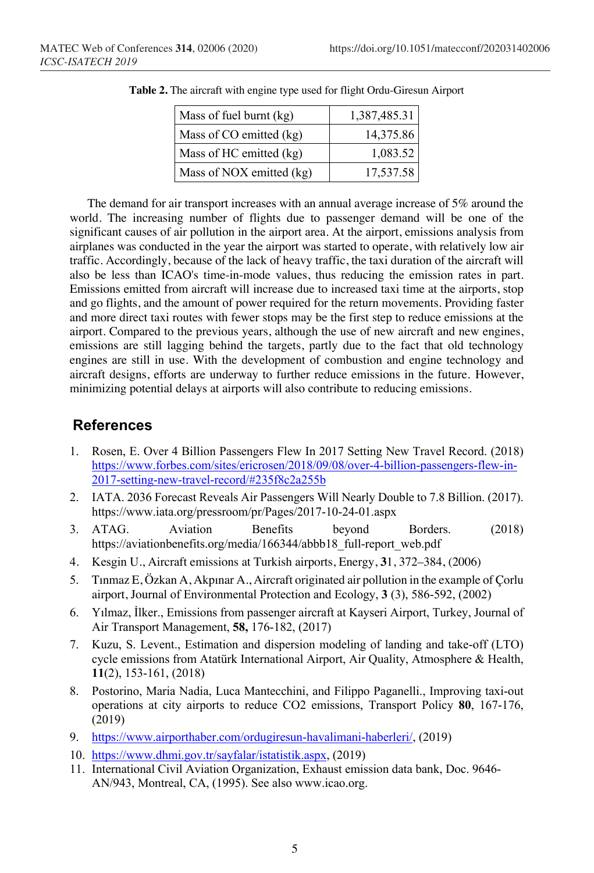| Mass of fuel burnt (kg)  | 1,387,485.31 |
|--------------------------|--------------|
| Mass of CO emitted (kg)  | 14,375.86    |
| Mass of HC emitted (kg)  | 1,083.52     |
| Mass of NOX emitted (kg) | 17,537.58    |

**Table 2.** The aircraft with engine type used for flight Ordu-Giresun Airport

The demand for air transport increases with an annual average increase of 5% around the world. The increasing number of flights due to passenger demand will be one of the significant causes of air pollution in the airport area. At the airport, emissions analysis from airplanes was conducted in the year the airport was started to operate, with relatively low air traffic. Accordingly, because of the lack of heavy traffic, the taxi duration of the aircraft will also be less than ICAO's time-in-mode values, thus reducing the emission rates in part. Emissions emitted from aircraft will increase due to increased taxi time at the airports, stop and go flights, and the amount of power required for the return movements. Providing faster and more direct taxi routes with fewer stops may be the first step to reduce emissions at the airport. Compared to the previous years, although the use of new aircraft and new engines, emissions are still lagging behind the targets, partly due to the fact that old technology engines are still in use. With the development of combustion and engine technology and aircraft designs, efforts are underway to further reduce emissions in the future. However, minimizing potential delays at airports will also contribute to reducing emissions.

## **References**

- 1. Rosen, E. Over 4 Billion Passengers Flew In 2017 Setting New Travel Record. (2018) https://www.forbes.com/sites/ericrosen/2018/09/08/over-4-billion-passengers-flew-in-2017-setting-new-travel-record/#235f8c2a255b
- 2. IATA. 2036 Forecast Reveals Air Passengers Will Nearly Double to 7.8 Billion. (2017). https://www.iata.org/pressroom/pr/Pages/2017-10-24-01.aspx
- 3. ATAG. Aviation Benefits beyond Borders. (2018) https://aviationbenefits.org/media/166344/abbb18\_full-report\_web.pdf
- 4. Kesgin U., Aircraft emissions at Turkish airports, Energy, **3**1, 372–384, (2006)
- 5. Tınmaz E, Özkan A, Akpınar A., Aircraft originated air pollution in the example of Çorlu airport, Journal of Environmental Protection and Ecology, **3** (3), 586-592, (2002)
- 6. Yılmaz, İlker., Emissions from passenger aircraft at Kayseri Airport, Turkey, Journal of Air Transport Management, **58,** 176-182, (2017)
- 7. Kuzu, S. Levent., Estimation and dispersion modeling of landing and take-off (LTO) cycle emissions from Atatürk International Airport, Air Quality, Atmosphere & Health, **11**(2), 153-161, (2018)
- 8. Postorino, Maria Nadia, Luca Mantecchini, and Filippo Paganelli., Improving taxi-out operations at city airports to reduce CO2 emissions, Transport Policy **80**, 167-176, (2019)
- 9. https://www.airporthaber.com/ordugiresun-havalimani-haberleri/, (2019)
- 10. https://www.dhmi.gov.tr/sayfalar/istatistik.aspx, (2019)
- 11. International Civil Aviation Organization, Exhaust emission data bank, Doc. 9646- AN/943, Montreal, CA, (1995). See also www.icao.org.